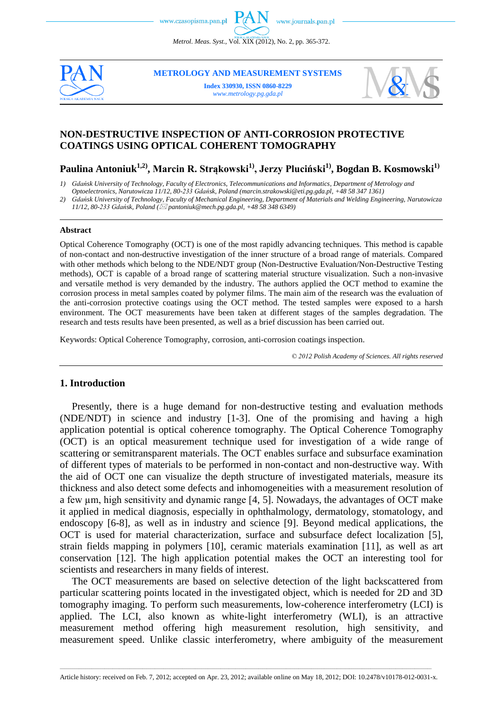*Metrol. Meas. Syst.*, Vol. XIX (2012), No. 2, pp. 365-372.



**METROLOGY AND MEASUREMENT SYSTEMS**

**Index 330930, ISSN 0860-8229** *www.metrology.pg.gda.pl*



## **NON-DESTRUCTIVE INSPECTION OF ANTI-CORROSION PROTECTIVE COATINGS USING OPTICAL COHERENT TOMOGRAPHY**

# **Paulina Antoniuk1,2) , Marcin R. Strąkowski1) , Jerzy Pluciński1), Bogdan B. Kosmowski1)**

*1) Gdańsk University of Technology, Faculty of Electronics, Telecommunications and Informatics, Department of Metrology and Optoelectronics, Narutowicza 11/12, 80-233 Gdańsk, Poland [\(marcin.strakowski@eti.pg.gda.pl,](mailto:marcin.strakowski@eti.pg.gda.pl) +48 58 347 1361)*

*2) Gdańsk University of Technology, Faculty of Mechanical Engineering, Department of Materials and Welding Engineering, Narutowicza 11/12, 80-233 Gdańsk, Poland ( [pantoniuk@mech.pg.gda.pl,](mailto:pantoniuk@mech.pg.gda.pl) +48 58 348 6349)*

#### **Abstract**

Optical Coherence Tomography (OCT) is one of the most rapidly advancing techniques. This method is capable of non-contact and non-destructive investigation of the inner structure of a broad range of materials. Compared with other methods which belong to the NDE/NDT group (Non-Destructive Evaluation/Non-Destructive Testing methods), OCT is capable of a broad range of scattering material structure visualization. Such a non-invasive and versatile method is very demanded by the industry. The authors applied the OCT method to examine the corrosion process in metal samples coated by polymer films. The main aim of the research was the evaluation of the anti-corrosion protective coatings using the OCT method. The tested samples were exposed to a harsh environment. The OCT measurements have been taken at different stages of the samples degradation. The research and tests results have been presented, as well as a brief discussion has been carried out.

Keywords: Optical Coherence Tomography, corrosion, anti-corrosion coatings inspection.

*© 2012 Polish Academy of Sciences. All rights reserved*

### **1. Introduction**

Presently, there is a huge demand for non-destructive testing and evaluation methods (NDE/NDT) in science and industry [1-3]. One of the promising and having a high application potential is optical coherence tomography. The Optical Coherence Tomography (OCT) is an optical measurement technique used for investigation of a wide range of scattering or semitransparent materials. The OCT enables surface and subsurface examination of different types of materials to be performed in non-contact and non-destructive way. With the aid of OCT one can visualize the depth structure of investigated materials, measure its thickness and also detect some defects and inhomogeneities with a measurement resolution of a few  $\mu$ m, high sensitivity and dynamic range [4, 5]. Nowadays, the advantages of OCT make it applied in medical diagnosis, especially in ophthalmology, dermatology, stomatology, and endoscopy [6-8], as well as in industry and science [9]. Beyond medical applications, the OCT is used for material characterization, surface and subsurface defect localization [5], strain fields mapping in polymers [10], ceramic materials examination [11], as well as art conservation [12]. The high application potential makes the OCT an interesting tool for scientists and researchers in many fields of interest.

The OCT measurements are based on selective detection of the light backscattered from particular scattering points located in the investigated object, which is needed for 2D and 3D tomography imaging. To perform such measurements, low-coherence interferometry (LCI) is applied. The LCI, also known as white-light interferometry (WLI), is an attractive measurement method offering high measurement resolution, high sensitivity, and measurement speed. Unlike classic interferometry, where ambiguity of the measurement

\_\_\_\_\_\_\_\_\_\_\_\_\_\_\_\_\_\_\_\_\_\_\_\_\_\_\_\_\_\_\_\_\_\_\_\_\_\_\_\_\_\_\_\_\_\_\_\_\_\_\_\_\_\_\_\_\_\_\_\_\_\_\_\_\_\_\_\_\_\_\_\_\_\_\_\_\_\_\_\_\_\_\_\_\_\_\_\_\_\_\_\_\_\_\_\_\_\_\_\_\_\_\_\_\_\_\_\_\_\_\_\_\_\_\_\_\_\_\_\_\_\_\_\_\_\_\_\_\_\_\_\_\_\_\_\_\_\_\_\_\_\_\_\_\_\_\_\_\_\_\_\_\_\_\_\_\_\_\_\_\_\_\_\_\_\_\_\_\_\_\_\_\_\_\_\_ Article history: received on Feb. 7, 2012; accepted on Apr. 23, 2012; available online on May 18, 2012; DOI: 10.2478/v10178-012-0031-x.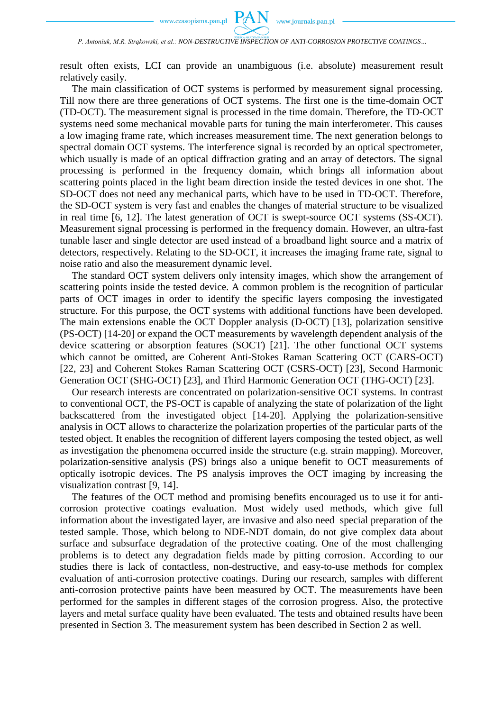

*P. Antoniuk, M.R. Strąkowski, et al.: NON-DESTRUCTIVE INSPECTION OF ANTI-CORROSION PROTECTIVE COATINGS…*

result often exists, LCI can provide an unambiguous (i.e. absolute) measurement result relatively easily.

The main classification of OCT systems is performed by measurement signal processing. Till now there are three generations of OCT systems. The first one is the time-domain OCT (TD-OCT). The measurement signal is processed in the time domain. Therefore, the TD-OCT systems need some mechanical movable parts for tuning the main interferometer. This causes a low imaging frame rate, which increases measurement time. The next generation belongs to spectral domain OCT systems. The interference signal is recorded by an optical spectrometer, which usually is made of an optical diffraction grating and an array of detectors. The signal processing is performed in the frequency domain, which brings all information about scattering points placed in the light beam direction inside the tested devices in one shot. The SD-OCT does not need any mechanical parts, which have to be used in TD-OCT. Therefore, the SD-OCT system is very fast and enables the changes of material structure to be visualized in real time [6, 12]. The latest generation of OCT is swept-source OCT systems (SS-OCT). Measurement signal processing is performed in the frequency domain. However, an ultra-fast tunable laser and single detector are used instead of a broadband light source and a matrix of detectors, respectively. Relating to the SD-OCT, it increases the imaging frame rate, signal to noise ratio and also the measurement dynamic level.

The standard OCT system delivers only intensity images, which show the arrangement of scattering points inside the tested device. A common problem is the recognition of particular parts of OCT images in order to identify the specific layers composing the investigated structure. For this purpose, the OCT systems with additional functions have been developed. The main extensions enable the OCT Doppler analysis (D-OCT) [13], polarization sensitive (PS-OCT) [14-20] or expand the OCT measurements by wavelength dependent analysis of the device scattering or absorption features (SOCT) [21]. The other functional OCT systems which cannot be omitted, are Coherent Anti-Stokes Raman Scattering OCT (CARS-OCT) [22, 23] and Coherent Stokes Raman Scattering OCT (CSRS-OCT) [23], Second Harmonic Generation OCT (SHG-OCT) [23], and Third Harmonic Generation OCT (THG-OCT) [23].

Our research interests are concentrated on polarization-sensitive OCT systems. In contrast to conventional OCT, the PS-OCT is capable of analyzing the state of polarization of the light backscattered from the investigated object [14-20]. Applying the polarization-sensitive analysis in OCT allows to characterize the polarization properties of the particular parts of the tested object. It enables the recognition of different layers composing the tested object, as well as investigation the phenomena occurred inside the structure (e.g. strain mapping). Moreover, polarization-sensitive analysis (PS) brings also a unique benefit to OCT measurements of optically isotropic devices. The PS analysis improves the OCT imaging by increasing the visualization contrast [9, 14].

The features of the OCT method and promising benefits encouraged us to use it for anticorrosion protective coatings evaluation. Most widely used methods, which give full information about the investigated layer, are invasive and also need special preparation of the tested sample. Those, which belong to NDE-NDT domain, do not give complex data about surface and subsurface degradation of the protective coating. One of the most challenging problems is to detect any degradation fields made by pitting corrosion. According to our studies there is lack of contactless, non-destructive, and easy-to-use methods for complex evaluation of anti-corrosion protective coatings. During our research, samples with different anti-corrosion protective paints have been measured by OCT. The measurements have been performed for the samples in different stages of the corrosion progress. Also, the protective layers and metal surface quality have been evaluated. The tests and obtained results have been presented in Section 3. The measurement system has been described in Section 2 as well.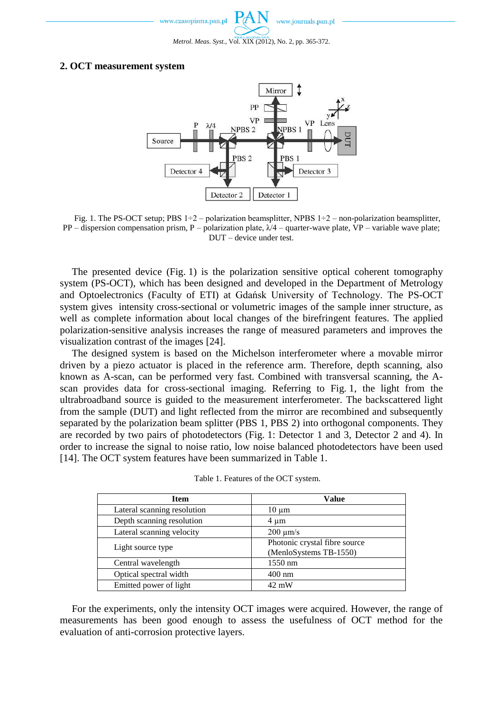### **2. OCT measurement system**



Fig. 1. The PS-OCT setup; PBS  $1\div 2$  – polarization beamsplitter, NPBS  $1\div 2$  – non-polarization beamsplitter, PP – dispersion compensation prism, P – polarization plate, λ/4 – quarter-wave plate, VP – variable wave plate; DUT – device under test.

The presented device (Fig. 1) is the polarization sensitive optical coherent tomography system (PS-OCT), which has been designed and developed in the Department of Metrology and Optoelectronics (Faculty of ETI) at Gdańsk University of Technology. The PS-OCT system gives intensity cross-sectional or volumetric images of the sample inner structure, as well as complete information about local changes of the birefringent features. The applied polarization-sensitive analysis increases the range of measured parameters and improves the visualization contrast of the images [24].

The designed system is based on the Michelson interferometer where a movable mirror driven by a piezo actuator is placed in the reference arm. Therefore, depth scanning, also known as A-scan, can be performed very fast. Combined with transversal scanning, the Ascan provides data for cross-sectional imaging. Referring to Fig. 1, the light from the ultrabroadband source is guided to the measurement interferometer. The backscattered light from the sample (DUT) and light reflected from the mirror are recombined and subsequently separated by the polarization beam splitter (PBS 1, PBS 2) into orthogonal components. They are recorded by two pairs of photodetectors (Fig. 1: Detector 1 and 3, Detector 2 and 4). In order to increase the signal to noise ratio, low noise balanced photodetectors have been used [14]. The OCT system features have been summarized in Table 1.

| Item                        | Value                                                   |
|-----------------------------|---------------------------------------------------------|
| Lateral scanning resolution | $10 \mu m$                                              |
| Depth scanning resolution   | $4 \mu m$                                               |
| Lateral scanning velocity   | $200 \mu m/s$                                           |
| Light source type           | Photonic crystal fibre source<br>(MenloSystems TB-1550) |
| Central wavelength          | 1550 nm                                                 |
| Optical spectral width      | $400 \text{ nm}$                                        |
| Emitted power of light      | $42 \text{ mW}$                                         |

Table 1. Features of the OCT system.

For the experiments, only the intensity OCT images were acquired. However, the range of measurements has been good enough to assess the usefulness of OCT method for the evaluation of anti-corrosion protective layers.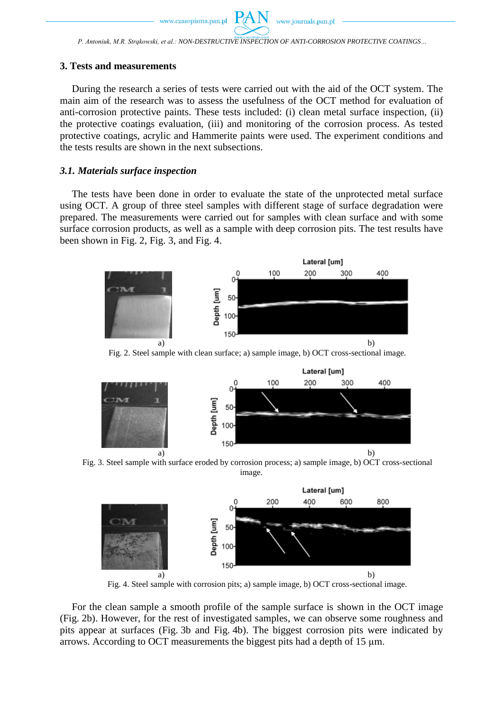*P. Antoniuk, M.R. Strąkowski, et al.: NON-DESTRUCTIVE INSPECTION OF ANTI-CORROSION PROTECTIVE COATINGS…*

#### **3. Tests and measurements**

During the research a series of tests were carried out with the aid of the OCT system. The main aim of the research was to assess the usefulness of the OCT method for evaluation of anti-corrosion protective paints. These tests included: (i) clean metal surface inspection, (ii) the protective coatings evaluation, (iii) and monitoring of the corrosion process. As tested protective coatings, acrylic and Hammerite paints were used. The experiment conditions and the tests results are shown in the next subsections.

### *3.1. Materials surface inspection*

The tests have been done in order to evaluate the state of the unprotected metal surface using OCT. A group of three steel samples with different stage of surface degradation were prepared. The measurements were carried out for samples with clean surface and with some surface corrosion products, as well as a sample with deep corrosion pits. The test results have been shown in Fig. 2, Fig. 3, and Fig. 4.



Fig. 2. Steel sample with clean surface; a) sample image, b) OCT cross-sectional image.



Fig. 3. Steel sample with surface eroded by corrosion process; a) sample image, b) OCT cross-sectional image.



Fig. 4. Steel sample with corrosion pits; a) sample image, b) OCT cross-sectional image.

For the clean sample a smooth profile of the sample surface is shown in the OCT image (Fig. 2b). However, for the rest of investigated samples, we can observe some roughness and pits appear at surfaces (Fig. 3b and Fig. 4b). The biggest corrosion pits were indicated by arrows. According to OCT measurements the biggest pits had a depth of 15 µm.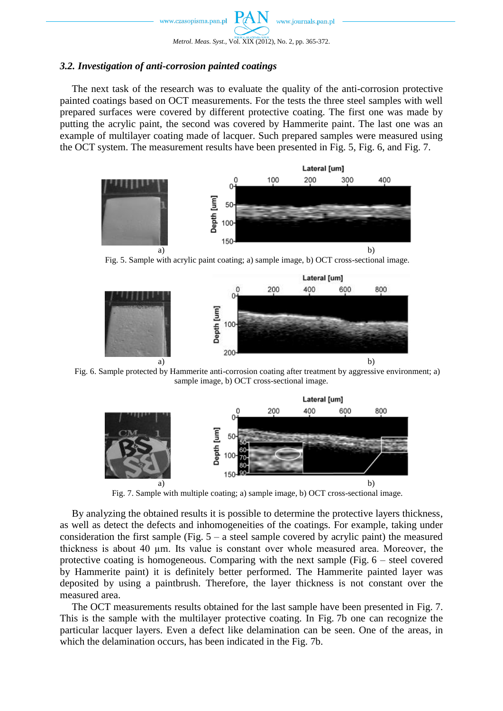

## *3.2. Investigation of anti-corrosion painted coatings*

The next task of the research was to evaluate the quality of the anti-corrosion protective painted coatings based on OCT measurements. For the tests the three steel samples with well prepared surfaces were covered by different protective coating. The first one was made by putting the acrylic paint, the second was covered by Hammerite paint. The last one was an example of multilayer coating made of lacquer. Such prepared samples were measured using the OCT system. The measurement results have been presented in Fig. 5, Fig. 6, and Fig. 7.



Fig. 5. Sample with acrylic paint coating; a) sample image, b) OCT cross-sectional image.



Fig. 6. Sample protected by Hammerite anti-corrosion coating after treatment by aggressive environment; a) sample image, b) OCT cross-sectional image.



Fig. 7. Sample with multiple coating; a) sample image, b) OCT cross-sectional image.

By analyzing the obtained results it is possible to determine the protective layers thickness, as well as detect the defects and inhomogeneities of the coatings. For example, taking under consideration the first sample (Fig.  $5 - a$  steel sample covered by acrylic paint) the measured thickness is about 40 µm. Its value is constant over whole measured area. Moreover, the protective coating is homogeneous. Comparing with the next sample (Fig. 6 – steel covered by Hammerite paint) it is definitely better performed. The Hammerite painted layer was deposited by using a paintbrush. Therefore, the layer thickness is not constant over the measured area.

The OCT measurements results obtained for the last sample have been presented in Fig. 7. This is the sample with the multilayer protective coating. In Fig. 7b one can recognize the particular lacquer layers. Even a defect like delamination can be seen. One of the areas, in which the delamination occurs, has been indicated in the Fig. 7b.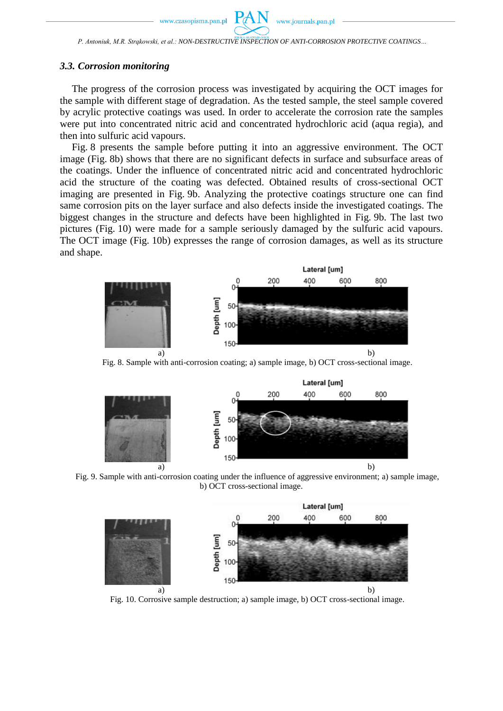#### *3.3. Corrosion monitoring*

The progress of the corrosion process was investigated by acquiring the OCT images for the sample with different stage of degradation. As the tested sample, the steel sample covered by acrylic protective coatings was used. In order to accelerate the corrosion rate the samples were put into concentrated nitric acid and concentrated hydrochloric acid (aqua regia), and then into sulfuric acid vapours.

Fig. 8 presents the sample before putting it into an aggressive environment. The OCT image (Fig. 8b) shows that there are no significant defects in surface and subsurface areas of the coatings. Under the influence of concentrated nitric acid and concentrated hydrochloric acid the structure of the coating was defected. Obtained results of cross-sectional OCT imaging are presented in Fig. 9b. Analyzing the protective coatings structure one can find same corrosion pits on the layer surface and also defects inside the investigated coatings. The biggest changes in the structure and defects have been highlighted in Fig. 9b. The last two pictures (Fig. 10) were made for a sample seriously damaged by the sulfuric acid vapours. The OCT image (Fig. 10b) expresses the range of corrosion damages, as well as its structure and shape.



Fig. 8. Sample with anti-corrosion coating; a) sample image, b) OCT cross-sectional image.



Fig. 9. Sample with anti-corrosion coating under the influence of aggressive environment; a) sample image, b) OCT cross-sectional image.



Fig. 10. Corrosive sample destruction; a) sample image, b) OCT cross-sectional image.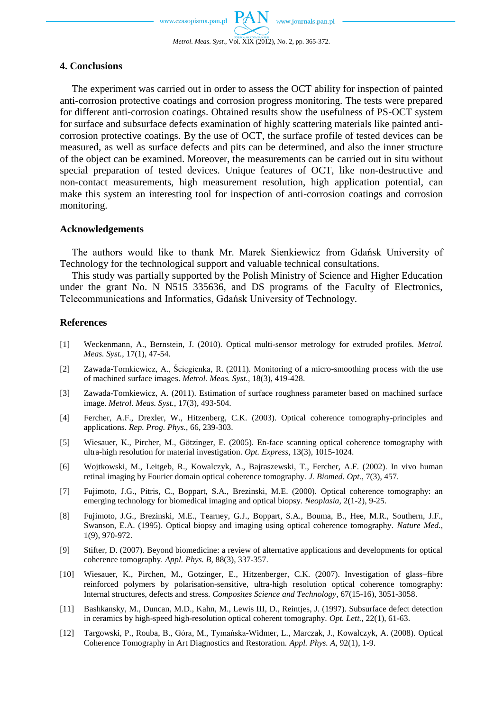## **4. Conclusions**

The experiment was carried out in order to assess the OCT ability for inspection of painted anti-corrosion protective coatings and corrosion progress monitoring. The tests were prepared for different anti-corrosion coatings. Obtained results show the usefulness of PS-OCT system for surface and subsurface defects examination of highly scattering materials like painted anticorrosion protective coatings. By the use of OCT, the surface profile of tested devices can be measured, as well as surface defects and pits can be determined, and also the inner structure of the object can be examined. Moreover, the measurements can be carried out in situ without special preparation of tested devices. Unique features of OCT, like non-destructive and non-contact measurements, high measurement resolution, high application potential, can make this system an interesting tool for inspection of anti-corrosion coatings and corrosion monitoring.

### **Acknowledgements**

The authors would like to thank Mr. Marek Sienkiewicz from Gdańsk University of Technology for the technological support and valuable technical consultations.

This study was partially supported by the Polish Ministry of Science and Higher Education under the grant No. N N515 335636, and DS programs of the Faculty of Electronics, Telecommunications and Informatics, Gdańsk University of Technology.

### **References**

- [1] Weckenmann, A., Bernstein, J. (2010). Optical multi-sensor metrology for extruded profiles. *Metrol. Meas. Syst.*, 17(1), 47-54.
- [2] Zawada-Tomkiewicz, A., Ściegienka, R. (2011). Monitoring of a micro-smoothing process with the use of machined surface images. *Metrol. Meas. Syst.*, 18(3), 419-428.
- [3] Zawada-Tomkiewicz, A. (2011). Estimation of surface roughness parameter based on machined surface image. *Metrol. Meas. Syst.*, 17(3), 493-504.
- [4] Fercher, A.F., Drexler, W., Hitzenberg, C.K. (2003). Optical coherence tomography-principles and applications. *Rep. Prog. Phys.*, 66, 239-303.
- [5] Wiesauer, K., Pircher, M., Götzinger, E. (2005). En-face scanning optical coherence tomography with ultra-high resolution for material investigation. *Opt. Express*, 13(3), 1015-1024.
- [6] Wojtkowski, M., Leitgeb, R., Kowalczyk, A., Bajraszewski, T., Fercher, A.F. (2002). In vivo human retinal imaging by Fourier domain optical coherence tomography. *J. Biomed. Opt.*, 7(3), 457.
- [7] Fujimoto, J.G., Pitris, C., Boppart, S.A., Brezinski, M.E. (2000). Optical coherence tomography: an emerging technology for biomedical imaging and optical biopsy. *Neoplasia*, 2(1-2), 9-25.
- [8] Fujimoto, J.G., Brezinski, M.E., Tearney, G.J., Boppart, S.A., Bouma, B., Hee, M.R., Southern, J.F., Swanson, E.A. (1995). Optical biopsy and imaging using optical coherence tomography. *Nature Med.*, 1(9), 970-972.
- [9] Stifter, D. (2007). Beyond biomedicine: a review of alternative applications and developments for optical coherence tomography. *Appl. Phys. B*, 88(3), 337-357.
- [10] Wiesauer, K., Pirchen, M., Gotzinger, E., Hitzenberger, C.K. (2007). Investigation of glass–fibre reinforced polymers by polarisation-sensitive, ultra-high resolution optical coherence tomography: Internal structures, defects and stress. *Composites Science and Technology*, 67(15-16), 3051-3058.
- [11] Bashkansky, M., Duncan, M.D., Kahn, M., Lewis III, D., Reintjes, J. (1997). Subsurface defect detection in ceramics by high-speed high-resolution optical coherent tomography. *Opt. Lett.*, 22(1), 61-63.
- [12] Targowski, P., Rouba, B., Góra, M., Tymańska-Widmer, L., Marczak, J., Kowalczyk, A. (2008). Optical Coherence Tomography in Art Diagnostics and Restoration. *Appl. Phys. A*, 92(1), 1-9.